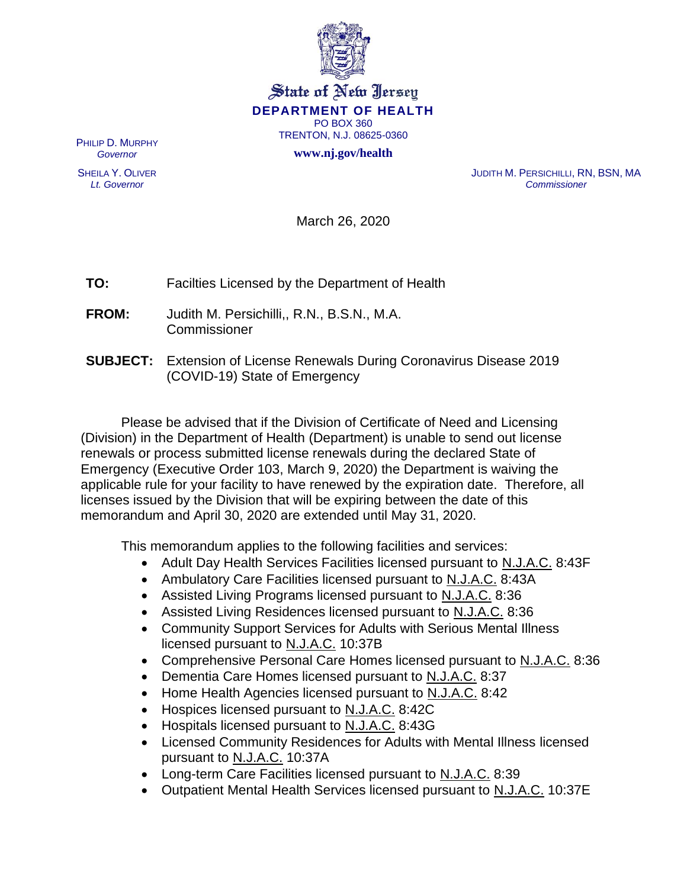

## State of New Jersey **DEPARTMENT OF HEALTH** PO BOX 360 TRENTON, N.J. 08625-0360

**www.nj.gov/health**

PHILIP D. MURPHY *Governor*

SHEILA Y. OLIVER *Lt. Governor*

JUDITH M. PERSICHILLI, RN, BSN, MA *Commissioner*

March 26, 2020

**TO:** Facilties Licensed by the Department of Health

- **FROM:** Judith M. Persichilli,, R.N., B.S.N., M.A. **Commissioner**
- **SUBJECT:** Extension of License Renewals During Coronavirus Disease 2019 (COVID-19) State of Emergency

Please be advised that if the Division of Certificate of Need and Licensing (Division) in the Department of Health (Department) is unable to send out license renewals or process submitted license renewals during the declared State of Emergency (Executive Order 103, March 9, 2020) the Department is waiving the applicable rule for your facility to have renewed by the expiration date. Therefore, all licenses issued by the Division that will be expiring between the date of this memorandum and April 30, 2020 are extended until May 31, 2020.

This memorandum applies to the following facilities and services:

- Adult Day Health Services Facilities licensed pursuant to N.J.A.C. 8:43F
- Ambulatory Care Facilities licensed pursuant to N.J.A.C. 8:43A
- Assisted Living Programs licensed pursuant to N.J.A.C. 8:36
- Assisted Living Residences licensed pursuant to N.J.A.C. 8:36
- Community Support Services for Adults with Serious Mental Illness licensed pursuant to N.J.A.C. 10:37B
- Comprehensive Personal Care Homes licensed pursuant to N.J.A.C. 8:36
- Dementia Care Homes licensed pursuant to N.J.A.C. 8:37
- Home Health Agencies licensed pursuant to N.J.A.C. 8:42
- Hospices licensed pursuant to N.J.A.C. 8:42C
- Hospitals licensed pursuant to N.J.A.C. 8:43G
- Licensed Community Residences for Adults with Mental Illness licensed pursuant to N.J.A.C. 10:37A
- Long-term Care Facilities licensed pursuant to N.J.A.C. 8:39
- Outpatient Mental Health Services licensed pursuant to N.J.A.C. 10:37E